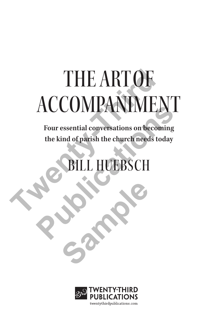# THE ARTOF ACCOMPANIMENT THE ART OF<br>ACCOMPANIMEI<br>Four essential conversations on becom<br>the kind of parish the church needs too

**Four essential conversations on becoming the kind of parish the church needs today Publications of becoming**<br>
Four essential conversations on becoming<br>
the kind of parish the church needs today<br> **PULL HUEBSCH** 

UEBSCH

Sample

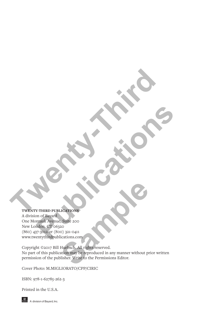# **TWENTY-THIRD PUBLICATIONS The Millian College of Children**

A division of Bayard One Montauk Avenue, Suite 200 New London, CT 06320 (860) 437-3012 or (800) 321-0411 www.twentythirdpublications.com **Publications and Contract Contract Contract Contract Contract Contract Contract Contract Contract Contract Contract Contract Contract Contract Contract Contract Contract Contract Contract Contract Contract Contract Contra** 

Copyright ©2017 Bill Huebsch. All rights reserved. No part of this publication may be reproduced in any manner without prior written permission of the publisher. Write to the Permissions Editor. **Sample 200**<br>
Sample 200<br>
(200)<br>
(3) 321-0411<br>
Lications.com<br>
Huebsch. All rights reserved.<br>
Huebsch. All rights reserved.<br>
ation may be reproduced in any manner without pr<br>
lisher. Write to the Permissions Editor.

Cover Photo: M.MIGLIORATO/CPP/CIRIC

ISBN: 978-1-62785-262-3

Printed in the U.S.A.

**A** division of Bayard, Inc.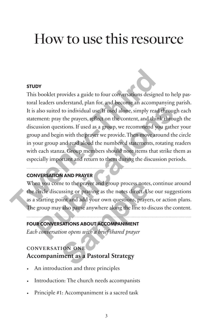# How to use this resource

# **STUDY**

This booklet provides a guide to four conversations designed to help pastoral leaders understand, plan for, and become an accompanying parish. It is also suited to individual use. If used alone, simply read through each statement: pray the prayers, reflect on the content, and think through the discussion questions. If used as a group, we recommend you gather your group and begin with the prayer we provide. Then move around the circle in your group and read aloud the numbered statements, rotating readers with each stanza. Group members should note items that strike them as especially important and return to them during the discussion periods. **STUDY**<br>
This booklet provides a guide to four conversations designed<br>
toral leaders understand, plan for, and become an accompar<br>
It is also suited to individual use, If used alone, simply read t<br>
statement: pray the pray also suited to individual use. If used alone, simply read through ement: pray the prayers, reflect on the content, and think through ement: pray the prayers, reflect on the content, and think through ussion questions. If u

# **CONVERSATION AND PRAYER**

When you come to the prayer and group process notes, continue around the circle discussing or praying as the notes direct. Use our suggestions as a starting point and add your own questions, prayers, or action plans. The group may also pause anywhere along the line to discuss the content. The to the prayer and group process notes<br>
ussing or praying as the notes direct. Us<br>
us and add your own questions, prayer<br>
valso pause anywhere along the line to d<br> **SATIONS ABOUT ACCOMPANIMENT**<br>
tion opens with a brief

# **FOUR CONVERSATIONS ABOUT ACCOMPANIMENT**

*Each conversation opens with a brief shared prayer*

# conversation one **Accompaniment as a Pastoral Strategy**

- An introduction and three principles
- Introduction: The church needs accompanists
- Principle #1: Accompaniment is a sacred task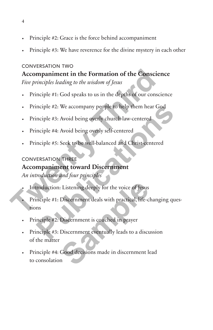- Principle #2: Grace is the force behind accompaniment
- Principle #3: We have reverence for the divine mystery in each other

# conversation two

**Accompaniment in the Formation of the Conscience** *Five principles leading to the wisdom of Jesus* Accompaniment in the Formation of the Conscientive principles leading to the wisdom of Jesus<br>
• Principle #1: God speaks to us in the depths of our consciention<br>
• Principle #2: We accompany people to help them hear Govern

- Principle #1: God speaks to us in the depths of our conscience
- Principle #2: We accompany people to help them hear God
- Principle #3: Avoid being overly church-law-centered
- Principle #4: Avoid being overly self-centered
- Principle #5: Seek to be well-balanced and Christ-centered

# conversation three

# **Accompaniment toward Discernment**

*An introduction and four principles*

- Introduction: Listening deeply for the voice of Jesus
- Principle #1: Discernment deals with practical, life-changing questions inciple #2: We accompany people to help them hear God<br>inciple #3: Avoid being overly church-law-centered<br>inciple #4: Avoid being overly self-centered<br>inciple #5: Seek to be well-balanced and Christ-centered<br>inciple #5: See Extening deeply for the voice of Jesus<br>
Discernment deals with practical, life-c<br>
Discernment is couched in prayer<br>
Discernment eventually leads to a discu<br>
Good decisions made in discernment le
- Principle #2: Discernment is couched in prayer
- Principle #3: Discernment eventually leads to a discussion of the matter
- Principle #4: Good decisions made in discernment lead to consolation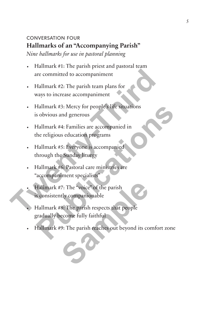# conversation four **Hallmarks of an "Accompanying Parish"**

*Nine hallmarks for use in pastoral planning*

- Hallmark #1: The parish priest and pastoral team are committed to accompaniment
- Hallmark #2: The parish team plans for ways to increase accompaniment
- Hallmark #3: Mercy for people's life situations is obvious and generous are committed to accompaniment<br>
• Hallmark #2: The parish team plans for<br>
ways to increase accompaniment<br>
• Hallmark #3: Mercy for people's life situations<br>
is obvious and generous<br>
• Hallmark #4: Families are accompanied
	- Hallmark #4: Families are accompanied in the religious education programs
	- Hallmark #5: Everyone is accompanied through the Sunday liturgy
	- Hallmark #6: Pastoral care ministries are "accompaniment specialists"
	- Hallmark #7: The "voice" of the parish is consistently companionable
	- Hallmark #8: The parish respects that people gradually become fully faithful Hallmark #3: Mercy for people's life situations<br>
	s obvious and generous<br>
	Hallmark #4: Families are accompanied in<br>
	the religious education programs<br>
	Hallmark #5: Everyone is accompanied<br>
	through the Sunday liturgy<br>
	Hallmar Fraction Contract Contract Contract Contract Contract Contract Contract Contract Contract Contract Contract Contract Contract Contract Contract Contract Contract Contract Contract Contract Contract Contract Contract Contra
	- Hallmark #9: The parish reaches out beyond its comfort zone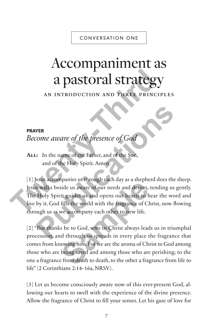# CONVERSATION ONE

# Accompaniment as a pastoral strategy

an introduction and three principles

# **PRAYER**

*Become aware of the presence of God* 

**All:** In the name of the Father, and of the Son, and of the Holy Spirit. Amen.

[1] Jesus accompanies us through each day as a shepherd does the sheep. Jesus walks beside us aware of our needs and desires, tending us gently. The Holy Spirit guides us and opens our hearts to hear the word and live by it. God fills the world with the fragrance of Christ, now flowing through us as we accompany each other to new life. **THE SET OF A STATE SUPPER SET ON AN INTRODUCTION AND THREE PRINCIP<br>
PRAYER**<br> *PRAYER*<br> *PRAYER*<br> *PRAYER*<br> *Third in the name of the presence of God*<br> **ALL:** In the name of the Father, and of the Son,<br>
and of the Holy Spi **PER**<br> **PUBLE 2008**<br> **PUBLE 2008**<br> **PUBLE 2009**<br> **PUBLE 2009**<br> **PUBLE 2009**<br> **PUBLE 2009**<br> **PUBLE 2009**<br> **PUBLE 2009**<br> **PUBLE 2009**<br> **PUBLE 2009**<br> **PUBLE 2009**<br> **PUBLE 2009**<br> **PUBLE 2009**<br> **PUBLE 2009**<br> **PUBLE 2009**<br> **PUBL** 

[2] "But thanks be to God, who in Christ always leads us in triumphal procession, and through us spreads in every place the fragrance that comes from knowing him. For we are the aroma of Christ to God among those who are being saved and among those who are perishing; to the one a fragrance from death to death, to the other a fragrance from life to life" (2 Corinthians 2:14–16a, NRSV). France as an engineed in y as a supplied<br>side us aware of our needs and desires,<br>it guides us and opens our hearts to h<br>fills the world with the fragrance of Cl<br>we accompany each other to new life.<br>s be to God, who in Chri

[3] Let us become consciously aware now of this ever-present God, allowing our hearts to swell with the experience of the divine presence. Allow the fragrance of Christ to fill your senses. Let his gaze of love for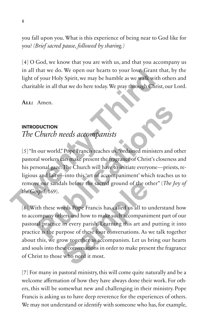you fall upon you. What is this experience of being near to God like for you? *(Brief sacred pause, followed by sharing.)*

[4] O God, we know that you are with us, and that you accompany us in all that we do. We open our hearts to your love. Grant that, by the light of your Holy Spirit, we may be humble as we walk with others and charitable in all that we do here today. We pray through Christ, our Lord.

**All:** Amen.

### **INTRODUCTION**

# *The Church needs accompanists*

[5] "In our world," Pope Francis teaches us, "ordained ministers and other pastoral workers can make present the fragrance of Christ's closeness and his personal gaze. The Church will have to initiate everyone—priests, religious and laity—into this 'art of accompaniment' which teaches us to remove our sandals before the sacred ground of the other" (*The Joy of the Gospel*, 169). in all that we do. We open our hearts to your love. Grant the<br>light of your Holy Spirit, we may be humble as we walk with c<br>charitable in all that we do here today. We pray through Christ,<br>c<br>ALL: Amen.<br>**The Church needs ac Purch needs accompanists**<br> **Church needs accompanists**<br> **Purch needs accompanists**<br> **Purch accompanists**<br> **Purch accompanists**<br> **Purch accompanies** of Christ's closeness are<br> **Space 2.** The Church will have to initiate ev

[6] With these words Pope Francis has called us all to understand how to accompany others and how to make such accompaniment part of our pastoral practice in every parish. Learning this art and putting it into practice is the purpose of these four conversations. As we talk together about this, we grow together as accompanists. Let us bring our hearts and souls into these conversations in order to make present the fragrance of Christ to those who need it most. It also before the sacred ground of the ot<br>
Samples of the sacred ground of the ot<br>
Samples Francis has called us all to use the samples of these four conversations. As very together as accompanists. Let us b<br>
Samples the

[7] For many in pastoral ministry, this will come quite naturally and be a welcome affirmation of how they have always done their work. For others, this will be somewhat new and challenging in their ministry. Pope Francis is asking us to have deep reverence for the experiences of others. We may not understand or identify with someone who has, for example,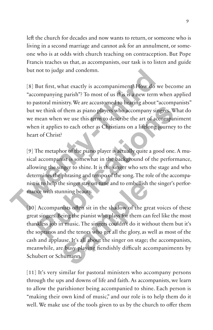left the church for decades and now wants to return, or someone who is living in a second marriage and cannot ask for an annulment, or someone who is at odds with church teaching on contraception. But Pope Francis teaches us that, as accompanists, our task is to listen and guide but not to judge and condemn.

[8] But first, what exactly is accompaniment? How do we become an "accompanying parish"? To most of us this is a new term when applied to pastoral ministry. We are accustomed to hearing about "accompanists" but we think of them as piano players who accompany singers. What do we mean when we use this term to describe the art of accompaniment when it applies to each other as Christians on a lifelong journey to the heart of Christ? but not to judge and condemn.<br>
[8] But first, what exactly is accompaniment? How do we<br>
"accompanying parish"? To most of us this is a new term w<br>
to pastoral ministry. We are accustomed to hearing about "ac<br>
but we think

[9] The metaphor of the piano player is actually quite a good one. A musical accompanist is somewhat in the background of the performance, allowing the singer to shine. It is the singer who sets the stage and who determines the phrasing and tempo of the song. The role of the accompanist is to help the singer stay on tune and to embellish the singer's performance with stunning beauty. We think of them as piano players who accompany singers. What the mean when we use this term to describe the art of accompanin<br>
in it applies to each other as Christians on a lifelong journey to<br>
to f Christ?<br>
The metaphor

[10] Accompanists often sit in the shadow of the great voices of these great singers. Being the pianist who plays for them can feel like the most thankless job in music. The singers couldn't do it without them but it's the sopranos and the tenors who get all the glory, as well as most of the cash and applause. It's all about the singer on stage; the accompanists, meanwhile, are busy playing fiendishly difficult accompaniments by Schubert or Schumann. take the singler stay on tune and to embellish<br>tunning beauty.<br>This is soften sit in the shadow of the greeding the pianist who plays for them can<br>in music. The singers couldn't do it with<br>nd the tenors who get all the glo

[11] It's very similar for pastoral ministers who accompany persons through the ups and downs of life and faith. As accompanists, we learn to allow the parishioner being accompanied to shine. Each person is "making their own kind of music," and our role is to help them do it well. We make use of the tools given to us by the church to offer them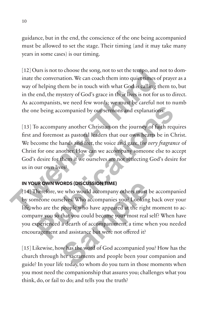guidance, but in the end, the conscience of the one being accompanied must be allowed to set the stage. Their timing (and it may take many years in some cases) is our timing.

[12] Ours is not to choose the song, not to set the tempo, and not to dominate the conversation. We can coach them into quiet times of prayer as a way of helping them be in touch with what God is calling them to, but in the end, the mystery of God's grace in their lives is not for us to direct. As accompanists, we need few words; we must be careful not to numb the one being accompanied by our sermons and explanations.

[13] To accompany another Christian on the journey of faith requires first and foremost as pastoral leaders that our own hearts be in Christ. We become the hands and feet, the voice and gaze, *the very fragrance* of Christ for one another. How can we accompany someone else to accept God's desire for them if we ourselves are not reflecting God's desire for us in our own lives? [12] Ours is not to choose the song, not to set the tempo, and not inter the conversation. We can coach them into quiet times of j<br>way of helping them be in touch with what God is calling the<br>in the end, the mystery of Go

# **IN YOUR OWN WORDS (DISCUSSION TIME)**

[14] Therefore, we who would accompany others must be accompanied by someone ourselves. Who accompanies you? Looking back over your life, who are the people who have appeared at the right moment to accompany you so that you could become your most real self? When have you experienced a dearth of accompaniment, a time when you needed encouragement and assistance but were not offered it? The being accompanied by our sermons and explanations.<br>
The being accompany another Christian on the journey of faith required foremost as pastoral leaders that our own hearts be in Christian come the hands and feet, the v **ORDS (DISCUSSION TIME)**<br>ve who would accompany others must l<br>selves. Who accompanies you? Looking<br>people who have appeared at the right<br>that you could become your most real :<br>a dearth of accompaniment, a time wl<br>and assis

[15] Likewise, how has the word of God accompanied you? How has the church through her sacraments and people been your companion and guide? In your life today, to whom do you turn in those moments when you most need the companionship that assures you; challenges what you think, do, or fail to do; and tells you the truth?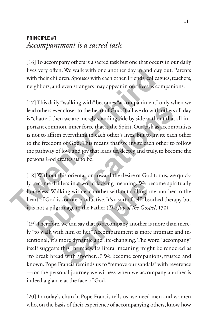# **PRINCIPLE #1** *Accompaniment is a sacred task*

[16] To accompany others is a sacred task but one that occurs in our daily lives very often. We walk with one another day in and day out. Parents with their children. Spouses with each other. Friends, colleagues, teachers, neighbors, and even strangers may appear in our lives as companions.

[17] This daily "walking with" becomes "accompaniment" only when we lead others ever closer to the heart of God. If all we do with others all day is "chatter," then we are merely standing side by side without that all-important common, inner force that is the Spirit. Our task as accompanists is not to affirm everything in each other's lives, but to invite each other to the freedom of God. This means that we invite each other to follow the pathway of love and joy that leads us, deeply and truly, to become the persons God creates us to be. lives very often. We walk with one another day in and day<br>with their children. Spouses with each other. Friends, colleage<br>neighbors, and even strangers may appear in our lives as con<br>[17] This daily "walking with" becomes others ever closer to the heart of God. If all we do with others all hatter," then we are merely standing side by side without that all tant common, inner force that is the Spirit. Our task as accompant of to affirm everyt

[18] Without this orientation toward the desire of God for us, we quickly become drifters in a world lacking meaning. We become spiritually homeless. Walking with each other without calling one another to the heart of God is counterproductive. It's a sort of self-absorbed therapy, but it is not a pilgrimage to the Father (*The Joy of the Gospel*, 170).

[19] Therefore, we can say that to accompany another is more than merely "to walk with him or her." Accompaniment is more intimate and intentional; it's more dynamic and life-changing. The word "accompany" itself suggests this intimacy. Its literal meaning might be rendered as "to break bread with another…" We become companions, trusted and known. Pope Francis reminds us to "remove our sandals" with reverence —for the personal journey we witness when we accompany another is indeed a glance at the face of God. flers in a world lacking meaning. We b<br>king with each other without calling o<br>counterproductive. It's a sort of self-abs<br>image to the Father (*The Joy of the Gost*<br>we can say that to accompany another i<br>th him or her." Acc

[20] In today's church, Pope Francis tells us, we need men and women who, on the basis of their experience of accompanying others, know how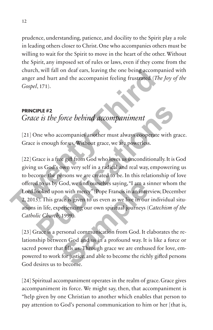prudence, understanding, patience, and docility to the Spirit play a role in leading others closer to Christ. One who accompanies others must be willing to wait for the Spirit to move in the heart of the other. Without the Spirit, any imposed set of rules or laws, even if they come from the church, will fall on deaf ears, leaving the one being accompanied with anger and hurt and the accompanist feeling frustrated (*The Joy of the Gospel*, 171).

# **PRINCIPLE #2** *Grace is the force behind accompaniment*

[21] One who accompanies another must always cooperate with grace. Grace is enough for us. Without grace, we are powerless.

[22] Grace is a free gift from God who loves us unconditionally. It is God giving us God's own very self in a radical and real way, empowering us to become the persons we are created to be. In this relationship of love offered to us by God, we find ourselves saying, "I am a sinner whom the Lord looked upon with mercy" (Pope Francis in an interview, December 2, 2015). This grace is given to us even as we live in our individual situations in life, experiencing our own spiritual journeys (*Catechism of the Catholic Church*, 1999). church, will fall on deaf ears, leaving the one being accompaint<br>anger and hurt and the accompanist feeling frustrated (*The*<br>Gospel, 171).<br>**PRINCIPLE #2**<br>**Crace is the force behind accompaniment**<br>[21] One who accompanies **PULE #2**<br>
The *B* is the force behind accompaniment<br>
Dne who accompanies another must always cooperate with gracis enough for us. Without grace, we are powerless.<br>
Frace is a free gift from God who loves us unconditionall God, we find ourselves saying, "I am a si<br>n with mercy" (Pope Francis in an inter<br>ace is given to us even as we live in our<br>beriencing our own spiritual journeys ((<br>1999).<br>ersonal communication from God. It el<br>een God and

[23] Grace is a personal communication from God. It elaborates the relationship between God and us in a profound way. It is like a force or sacred power that fills us. Through grace we are enthused for love, empowered to work for justice, and able to become the richly gifted persons God desires us to become.

[24] Spiritual accompaniment operates in the realm of grace. Grace gives accompaniment its force. We might say, then, that accompaniment is "help given by one Christian to another which enables that person to pay attention to God's personal communication to him or her [that is,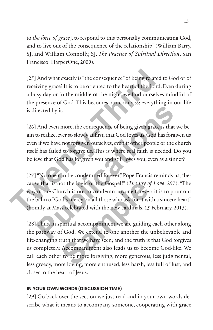to *the force of grace*], to respond to this personally communicating God, and to live out of the consequence of the relationship" (William Barry, SJ, and William Connolly, SJ. *The Practice of Spiritual Direction*. San Francisco: HarperOne, 2009).

[25] And what exactly is "the consequence" of being related to God or of receiving grace? It is to be oriented to the heart of the Lord. Even during a busy day or in the middle of the night, we find ourselves mindful of the presence of God. This becomes our compass; everything in our life is directed by it. [25] And what exactly is "the consequence" of being related receiving grace? It is to be oriented to the heart of the Lord. a busy day or in the middle of the night, we find ourselves the presence of God. This becomes our

[26] And even more, the consequence of being given grace is that we begin to realize, ever so slowly at first, that God loves us. God has forgiven us even if we have not forgiven ourselves, even if other people or the church itself has failed to forgive us. This is where real faith is needed. Do you believe that God has forgiven you and still loves you, even as a sinner?

[27] "No one can be condemned forever," Pope Francis reminds us, "because that is not the logic of the Gospel!" (*The Joy of Love*, 297). "The way of the Church is not to condemn anyone forever; it is to pour out the balm of God's mercy on all those who ask for it with a sincere heart" (homily at Mass celebrated with the new cardinals, 15 February, 2015). Frected by it.<br>
And even more, the consequence of being given grace is that we<br>
to realize, ever so slowly at first, that God loves us. God has forgive<br>
if we have not forgive ourselves, even if other people or the ch<br>
If

[28] Thus, in spiritual accompaniment we are guiding each other along the pathway of God. We extend to one another the unbelievable and life-changing truth that we have seen; and the truth is that God forgives us completely. Accompaniment also leads us to become God-like. We call each other to be more forgiving, more generous, less judgmental, less greedy, more loving, more enthused, less harsh, less full of lust, and closer to the heart of Jesus. or the logic of the Gospel!" (*The Joy of*<br>urch is not to condemn anyone forever<br>od's mercy on all those who ask for it wiss<br>seelebrated with the new cardinals, 15<br>piritual accompaniment we are guiding<br>f God. We extend to

# **IN YOUR OWN WORDS (DISCUSSION TIME)**

[29] Go back over the section we just read and in your own words describe what it means to accompany someone, cooperating with grace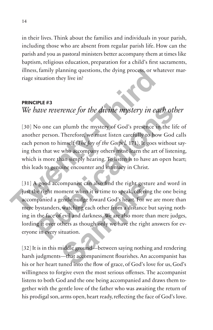in their lives. Think about the families and individuals in your parish, including those who are absent from regular parish life. How can the parish and you as pastoral ministers better accompany them at times like baptism, religious education, preparation for a child's first sacraments, illness, family planning questions, the dying process, or whatever marriage situation they live in?

### **PRINCIPLE #3**

# *We have reverence for the divine mystery in each other*

[30] No one can plumb the mystery of God's presence in the life of another person. Therefore, we must listen carefully to how God calls each person to himself (*The Joy of the Gospel,* 171). It goes without saying then that we who accompany others must learn the art of listening, which is more than simply hearing. To listen is to have an open heart; this leads to genuine encounter and intimacy in Christ. illness, family planning questions, the dying process, or what<br>
riage situation they live in?<br> **The Mass of the divine mystery in each**<br> **The Mass of the divine mystery in each**<br>
(30) No one can plumb the mystery of God's

[31] A good accompanist can also find the right gesture and word in just the right moment when it is time to speak, offering the one being accompanied a gentle nudge toward God's heart. For we are more than mere bystanders, watching each other from a distance but saying nothing in the face of evil and darkness. We are also more than mere judges, lording it over others as though only we have the right answers for everyone in every situation. **Publication Publication Publication Publication Publication Public Public Public Public Public Public Public Public Public Public Public Public Public Public Public Public Public** ompanist can also find the right gestu<br>soment when it is time to speak, offering<br>gentle nudge toward God's heart. For w<br>watching each other from a distance b<br>f evil and darkness. We are also more th<br>thers as though only we

[32] It is in this middle ground—between saying nothing and rendering harsh judgments—that accompaniment flourishes. An accompanist has his or her heart tuned into the flow of grace, of God's love for us, God's willingness to forgive even the most serious offenses. The accompanist listens to both God and the one being accompanied and draws them together with the gentle love of the father who was awaiting the return of his prodigal son, arms open, heart ready, reflecting the face of God's love.